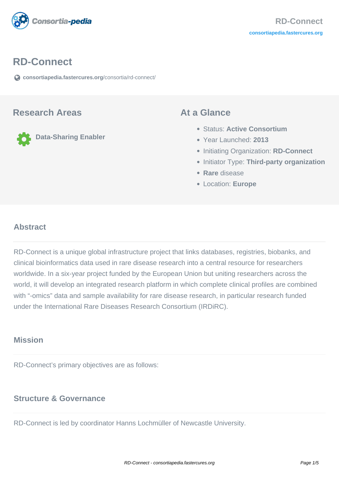

#### **RD-Connect**

**[consortiapedia.fastercures.org](https://consortiapedia.fastercures.org/consortia/rd-connect/)**[/consortia/rd-connect/](https://consortiapedia.fastercures.org/consortia/rd-connect/)

#### **Research Areas**

**Data-Sharing Enabler**

#### **At a Glance**

- Status: **Active Consortium**
- Year Launched: **2013**
- **Initiating Organization: RD-Connect**
- **Initiator Type: Third-party organization**
- **Rare** disease
- Location: **Europe**

#### $\overline{a}$ **Abstract**

RD-Connect is a unique global infrastructure project that links databases, registries, biobanks, and clinical bioinformatics data used in rare disease research into a central resource for researchers worldwide. In a six-year project funded by the European Union but uniting researchers across the world, it will develop an integrated research platform in which complete clinical profiles are combined with "-omics" data and sample availability for rare disease research, in particular research funded under the International Rare Diseases Research Consortium (IRDiRC).

#### **Mission**

RD-Connect's primary objectives are as follows:

### **Structure & Governance**

RD-Connect is led by coordinator Hanns Lochmüller of Newcastle University.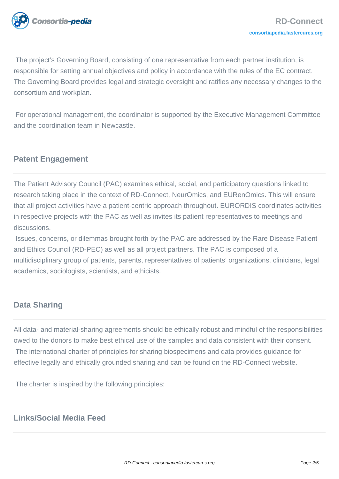

 The project's Governing Board, consisting of one representative from each partner institution, is responsible for setting annual objectives and policy in accordance with the rules of the EC contract. The Governing Board provides legal and strategic oversight and ratifies any necessary changes to the consortium and workplan.

 For operational management, the coordinator is supported by the Executive Management Committee and the coordination team in Newcastle.

# **Patent Engagement**

The Patient Advisory Council (PAC) examines ethical, social, and participatory questions linked to research taking place in the context of RD-Connect, NeurOmics, and EURenOmics. This will ensure that all project activities have a patient-centric approach throughout. EURORDIS coordinates activities in respective projects with the PAC as well as invites its patient representatives to meetings and discussions.

 Issues, concerns, or dilemmas brought forth by the PAC are addressed by the Rare Disease Patient and Ethics Council (RD-PEC) as well as all project partners. The PAC is composed of a multidisciplinary group of patients, parents, representatives of patients' organizations, clinicians, legal academics, sociologists, scientists, and ethicists.

## **Data Sharing**

All data- and material-sharing agreements should be ethically robust and mindful of the responsibilities owed to the donors to make best ethical use of the samples and data consistent with their consent. The international charter of principles for sharing biospecimens and data provides guidance for effective legally and ethically grounded sharing and can be found on the RD-Connect website.

The charter is inspired by the following principles:

# **Links/Social Media Feed**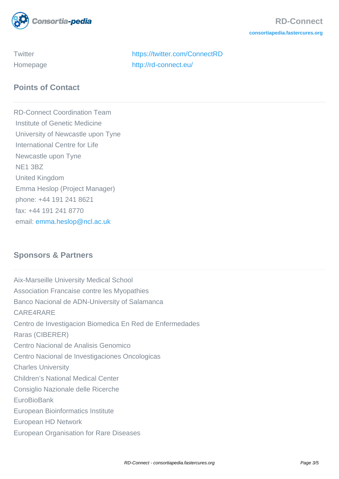

Twitter <https://twitter.com/ConnectRD> Homepage <http://rd-connect.eu/>

# **Points of Contact**

RD-Connect Coordination Team Institute of Genetic Medicine University of Newcastle upon Tyne International Centre for Life Newcastle upon Tyne NE1 3BZ United Kingdom Emma Heslop (Project Manager) phone: +44 191 241 8621 fax: +44 191 241 8770 email: [emma.heslop@ncl.ac.uk](mailto:emma.heslop@ncl.ac.uk)

# **Sponsors & Partners**

Aix-Marseille University Medical School Association Francaise contre les Myopathies Banco Nacional de ADN-University of Salamanca CARE4RARE Centro de Investigacion Biomedica En Red de Enfermedades Raras (CIBERER) Centro Nacional de Analisis Genomico Centro Nacional de Investigaciones Oncologicas Charles University Children's National Medical Center Consiglio Nazionale delle Ricerche **EuroBioBank** European Bioinformatics Institute European HD Network European Organisation for Rare Diseases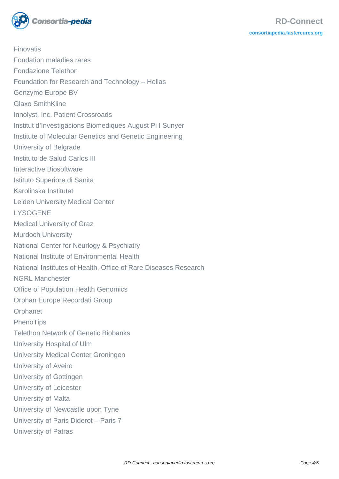

Finovatis Fondation maladies rares Fondazione Telethon Foundation for Research and Technology – Hellas Genzyme Europe BV Glaxo SmithKline Innolyst, Inc. Patient Crossroads Institut d'Investigacions Biomediques August Pi I Sunyer Institute of Molecular Genetics and Genetic Engineering University of Belgrade Instituto de Salud Carlos III Interactive Biosoftware Istituto Superiore di Sanita Karolinska Institutet Leiden University Medical Center **LYSOGENE** Medical University of Graz Murdoch University National Center for Neurlogy & Psychiatry National Institute of Environmental Health National Institutes of Health, Office of Rare Diseases Research NGRL Manchester Office of Population Health Genomics Orphan Europe Recordati Group **Orphanet** PhenoTips Telethon Network of Genetic Biobanks University Hospital of Ulm University Medical Center Groningen University of Aveiro University of Gottingen University of Leicester University of Malta University of Newcastle upon Tyne University of Paris Diderot – Paris 7 University of Patras